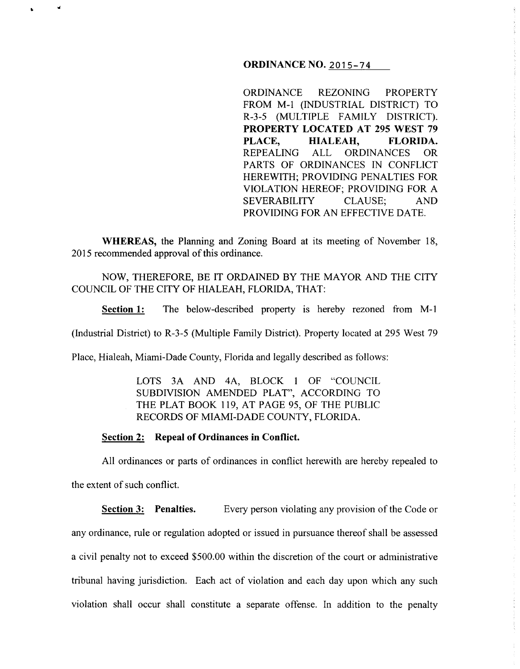### **ORDINANCE NO.** 2015-74

ORDINANCE REZONING PROPERTY FROM M-1 (INDUSTRIAL DISTRICT) TO R-3-5 (MULTIPLE FAMILY DISTRICT). **PROPERTY LOCATED AT 295 WEST 79**  PLACE, **HIALEAH, FLORIDA.** REPEALING ALL ORDINANCES OR PARTS OF ORDINANCES IN CONFLICT HEREWITH; PROVIDING PENALTIES FOR VIOLATION HEREOF; PROVIDING FOR A SEVERABILITY CLAUSE; AND PROVIDING FOR AN EFFECTIVE DATE.

**WHEREAS,** the Planning and Zoning Board at its meeting of November 18, 2015 recommended approval of this ordinance.

# NOW, THEREFORE, BE IT ORDAINED BY THE MAYOR AND THE CITY COUNCIL OF THE CITY OF HIALEAH, FLORIDA, THAT:

**Section 1:** The below-described property is hereby rezoned from M-1

(Industrial District) to R-3-5 (Multiple Family District). Property located at 295 West 79

Place, Hialeah, Miami-Dade County, Florida and legally described as follows:

LOTS 3A AND 4A, BLOCK 1 OF "COUNCIL SUBDIVISION AMENDED PLAT", ACCORDING TO THE PLAT BOOK 119, AT PAGE 95, OF THE PUBLIC RECORDS OF MIAMI-DADE COUNTY, FLORIDA.

## **Section 2: Repeal of Ordinances in Conflict.**

"

All ordinances or parts of ordinances in conflict herewith are hereby repealed to the extent of such conflict.

**Section 3: Penalties.** Every person violating any provision of the Code or any ordinance, rule or regulation adopted or issued in pursuance thereof shall be assessed a civil penalty not to exceed \$500.00 within the discretion of the court or administrative tribunal having jurisdiction. Each act of violation and each day upon which any such violation shall occur shall constitute a separate offense. In addition to the penalty